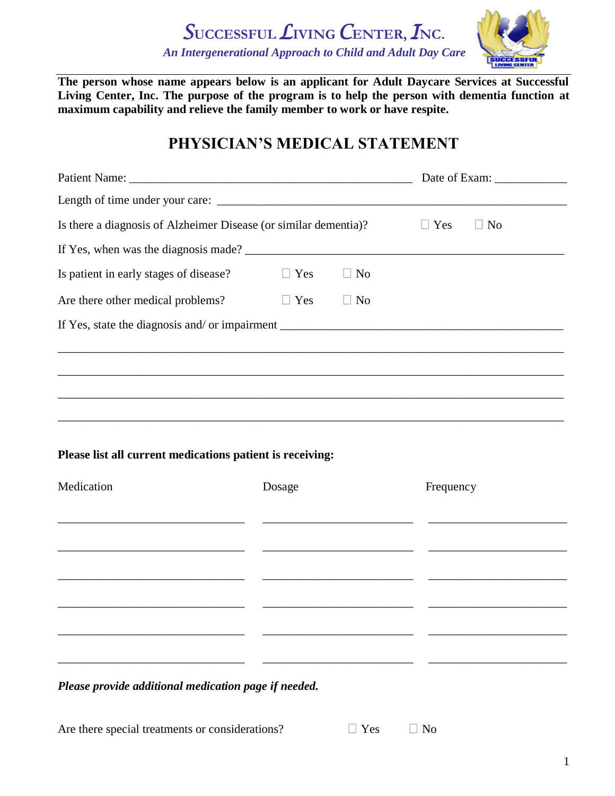*S***UCCESSFUL***L***IVING** *C***ENTER,** *I***NC.**  *An Intergenerational Approach to Child and Adult Day Care*



**The person whose name appears below is an applicant for Adult Daycare Services at Successful Living Center, Inc. The purpose of the program is to help the person with dementia function at maximum capability and relieve the family member to work or have respite.**

## **PHYSICIAN'S MEDICAL STATEMENT**

| Is there a diagnosis of Alzheimer Disease (or similar dementia)?                  |            | $\Box$ Yes<br>$\Box$ No |           |  |
|-----------------------------------------------------------------------------------|------------|-------------------------|-----------|--|
|                                                                                   |            |                         |           |  |
| Is patient in early stages of disease?                                            | $\Box$ Yes | $\Box$ No               |           |  |
| Are there other medical problems?                                                 | $\Box$ Yes | $\Box$ No               |           |  |
|                                                                                   |            |                         |           |  |
|                                                                                   |            |                         |           |  |
|                                                                                   |            |                         |           |  |
| ,我们也不能在这里的人,我们也不能在这里的人,我们也不能在这里的人,我们也不能在这里的人,我们也不能在这里的人,我们也不能在这里的人,我们也不能在这里的人,我们也 |            |                         |           |  |
| ,我们也不能在这里的人,我们也不能在这里的人,我们也不能在这里的人,我们也不能在这里的人,我们也不能在这里的人,我们也不能在这里的人,我们也不能在这里的人,我们也 |            |                         |           |  |
|                                                                                   |            |                         |           |  |
| Please list all current medications patient is receiving:                         |            |                         |           |  |
| Medication                                                                        | Dosage     |                         | Frequency |  |
|                                                                                   |            |                         |           |  |
|                                                                                   |            |                         |           |  |
|                                                                                   |            |                         |           |  |
|                                                                                   |            |                         |           |  |
|                                                                                   |            |                         |           |  |
|                                                                                   |            |                         |           |  |
|                                                                                   |            |                         |           |  |
|                                                                                   |            |                         |           |  |
| Please provide additional medication page if needed.                              |            |                         |           |  |
|                                                                                   |            |                         |           |  |

Are there special treatments or considerations?  $\Box$  Yes  $\Box$  No

| $\sim$<br>$\sim$ |  |
|------------------|--|
|------------------|--|

1